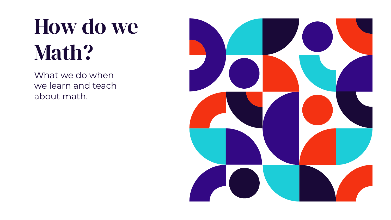# How do we Math?

What we do when we learn and teach about math.

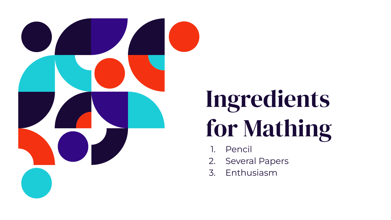

# Ingredients for Mathing

- 1. Pencil
- 2. Several Papers
- 3. Enthusiasm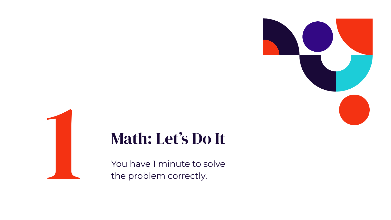

Math: Let's Do It<br>
You have 1 minute to solve<br>
the problem correctly. the problem correctly.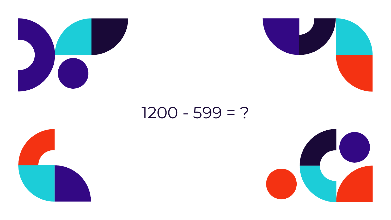



### $1200 - 599 = ?$



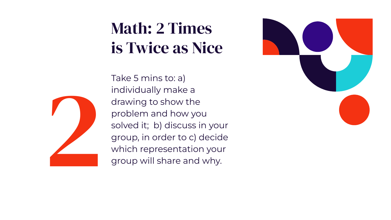## Math: 2 Times is Twice as Nice

Take 5 mins to: a) individually make a drawing to show the problem and how you solved it; b) discuss in your group, in order to c) decide which representation your group will share and why.



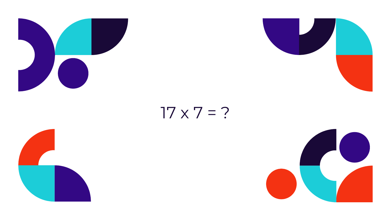



### $17 \times 7 = ?$



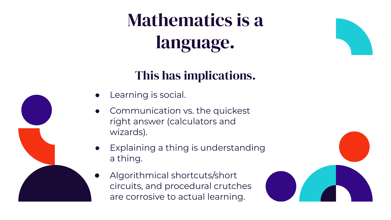# Mathematics is a language.

#### This has implications.

- Learning is social.
- Communication vs. the quickest right answer (calculators and wizards).
- Explaining a thing is understanding a thing.
	- Algorithmical shortcuts/short circuits, and procedural crutches are corrosive to actual learning.

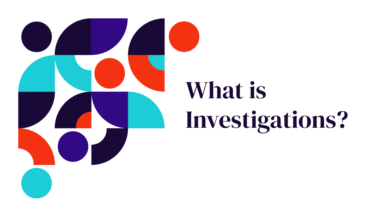

# What is Investigations?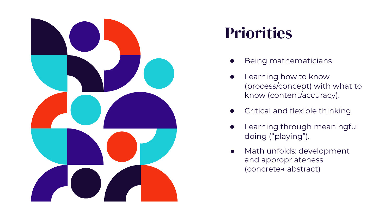

### **Priorities**

- Being mathematicians
- Learning how to know (process/concept) with what to know (content/accuracy).
- Critical and flexible thinking.
- Learning through meaningful doing ("playing").
- Math unfolds: development and appropriateness (concrete→ abstract)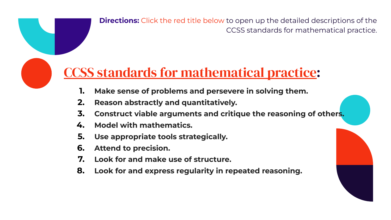**Directions:** Click the red title below to open up the detailed descriptions of the CCSS standards for mathematical practice.

### [CCSS standards for mathematical practice:](http://www.corestandards.org/Math/Practice/)

- **1. Make sense of problems and persevere in solving them.**
- **2. Reason abstractly and quantitatively.**
- **3. Construct viable arguments and critique the reasoning of others.**
- **4. Model with mathematics.**
- **5. Use appropriate tools strategically.**
- **6. Attend to precision.**
- **7. Look for and make use of structure.**
- **8. Look for and express regularity in repeated reasoning.**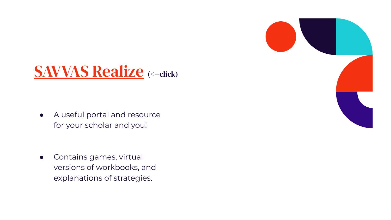

● A useful portal and resource for your scholar and you!

• Contains games, virtual versions of workbooks, and explanations of strategies.

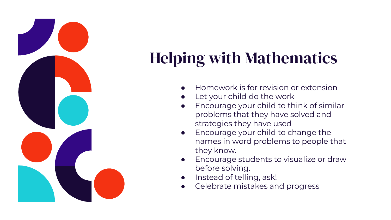

# Helping with Mathematics

- Homework is for revision or extension
- Let your child do the work
- Encourage your child to think of similar problems that they have solved and strategies they have used
- Encourage your child to change the names in word problems to people that they know.
- Encourage students to visualize or draw before solving.
- Instead of telling, ask!
- Celebrate mistakes and progress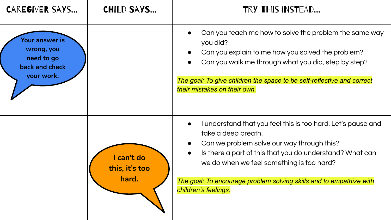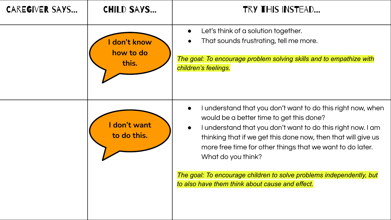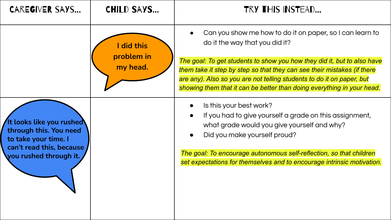| <b>CAREGIVER SAYS</b>                                                                                                            | <b>CHILD SAYS</b>                  | TRY THIS INSTEAD                                                                                                                                                                                                                                                                                                                                                                                    |
|----------------------------------------------------------------------------------------------------------------------------------|------------------------------------|-----------------------------------------------------------------------------------------------------------------------------------------------------------------------------------------------------------------------------------------------------------------------------------------------------------------------------------------------------------------------------------------------------|
|                                                                                                                                  | did this<br>problem in<br>my head. | Can you show me how to do it on paper, so I can learn to<br>do it the way that you did it?<br>The goal: To get students to show you how they did it, but to also have<br>them take it step by step so that they can see their mistakes (if there<br>are any). Also so you are not telling students to do it on paper, but<br>showing them that it can be better than doing everything in your head. |
| It looks like you rushed<br>through this. You need<br>to take your time. I<br>can't read this, because<br>you rushed through it. |                                    | Is this your best work?<br>If you had to give yourself a grade on this assignment,<br>what grade would you give yourself and why?<br>Did you make yourself proud?<br>The goal: To encourage autonomous self-reflection, so that children<br>set expectations for themselves and to encourage intrinsic motivation.                                                                                  |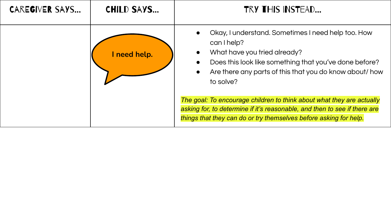| CAREGIVER SAYS | <b>CHILD SAYS</b> | <b>TRY THIS INSTEAD</b>                                                                                                                                                                                                                                       |
|----------------|-------------------|---------------------------------------------------------------------------------------------------------------------------------------------------------------------------------------------------------------------------------------------------------------|
|                | need help.        | Okay, I understand. Sometimes I need help too. How<br>can I help?<br>What have you tried already?<br>$\bullet$<br>Does this look like something that you've done before?<br>Are there any parts of this that you do know about/ how<br>$\bullet$<br>to solve? |
|                |                   | The goal: To encourage children to think about what they are actually<br>asking for, to determine if it's reasonable, and then to see if there are<br>things that they can do or try themselves before asking for help.                                       |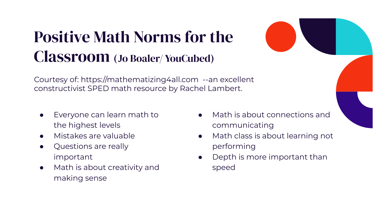### Positive Math Norms for the Classroom (Jo Boaler/ YouCubed)

Courtesy of: https://mathematizing4all.com --an excellent constructivist SPED math resource by Rachel Lambert.

- Everyone can learn math to the highest levels
- Mistakes are valuable
- Questions are really important
- Math is about creativity and making sense
- Math is about connections and communicating
- Math class is about learning not performing
- Depth is more important than speed

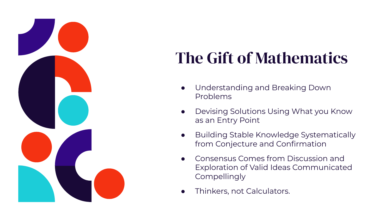

## The Gift of Mathematics

- Understanding and Breaking Down Problems
- Devising Solutions Using What you Know as an Entry Point
- Building Stable Knowledge Systematically from Conjecture and Confirmation
- Consensus Comes from Discussion and Exploration of Valid Ideas Communicated **Compellingly**
- Thinkers, not Calculators.